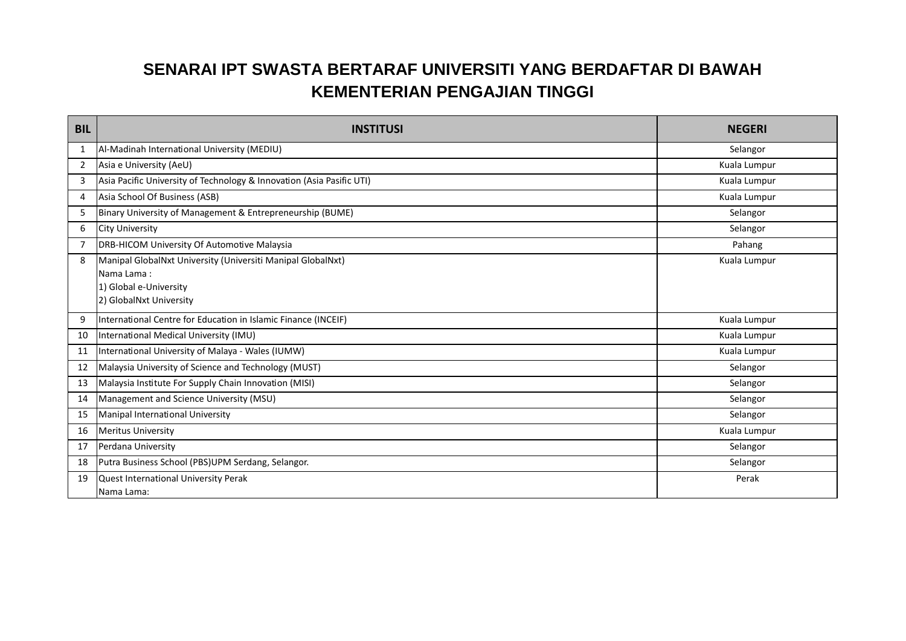## **SENARAI IPT SWASTA BERTARAF UNIVERSITI YANG BERDAFTAR DI BAWAH KEMENTERIAN PENGAJIAN TINGGI**

| <b>BIL</b>     | <b>INSTITUSI</b>                                                                                                               | <b>NEGERI</b> |
|----------------|--------------------------------------------------------------------------------------------------------------------------------|---------------|
| 1              | Al-Madinah International University (MEDIU)                                                                                    | Selangor      |
| $\overline{2}$ | Asia e University (AeU)                                                                                                        | Kuala Lumpur  |
| 3              | Asia Pacific University of Technology & Innovation (Asia Pasific UTI)                                                          | Kuala Lumpur  |
| 4              | Asia School Of Business (ASB)                                                                                                  | Kuala Lumpur  |
| 5              | Binary University of Management & Entrepreneurship (BUME)                                                                      | Selangor      |
| 6              | <b>City University</b>                                                                                                         | Selangor      |
|                | DRB-HICOM University Of Automotive Malaysia                                                                                    | Pahang        |
| 8              | Manipal GlobalNxt University (Universiti Manipal GlobalNxt)<br>Nama Lama:<br>1) Global e-University<br>2) GlobalNxt University | Kuala Lumpur  |
| q              | International Centre for Education in Islamic Finance (INCEIF)                                                                 | Kuala Lumpur  |
| 10             | International Medical University (IMU)                                                                                         | Kuala Lumpur  |
| 11             | International University of Malaya - Wales (IUMW)                                                                              | Kuala Lumpur  |
| 12             | Malaysia University of Science and Technology (MUST)                                                                           | Selangor      |
| 13             | Malaysia Institute For Supply Chain Innovation (MISI)                                                                          | Selangor      |
| 14             | Management and Science University (MSU)                                                                                        | Selangor      |
| 15             | Manipal International University                                                                                               | Selangor      |
| 16             | <b>Meritus University</b>                                                                                                      | Kuala Lumpur  |
| 17             | Perdana University                                                                                                             | Selangor      |
| 18             | Putra Business School (PBS)UPM Serdang, Selangor.                                                                              | Selangor      |
| 19             | Quest International University Perak<br>Nama Lama:                                                                             | Perak         |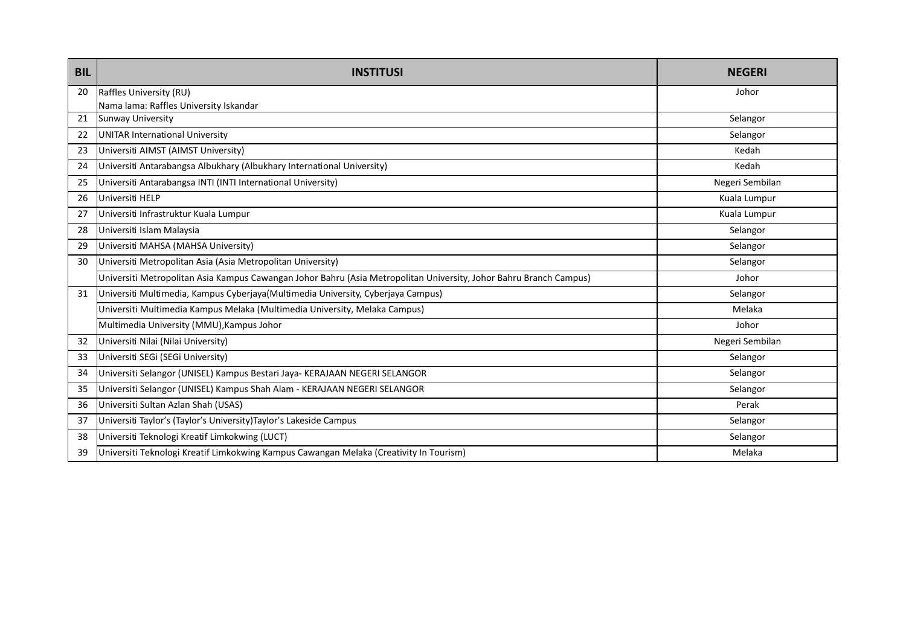| <b>BIL</b> | <b>INSTITUSI</b>                                                                                                   | <b>NEGERI</b>   |
|------------|--------------------------------------------------------------------------------------------------------------------|-----------------|
| 20         | Raffles University (RU)                                                                                            | Johor           |
|            | Nama lama: Raffles University Iskandar                                                                             |                 |
| 21         | <b>Sunway University</b>                                                                                           | Selangor        |
| 22         | <b>UNITAR International University</b>                                                                             | Selangor        |
| 23         | Universiti AIMST (AIMST University)                                                                                | Kedah           |
| 24         | Universiti Antarabangsa Albukhary (Albukhary International University)                                             | Kedah           |
| 25         | Universiti Antarabangsa INTI (INTI International University)                                                       | Negeri Sembilan |
| 26         | Universiti HELP                                                                                                    | Kuala Lumpur    |
| 27         | Universiti Infrastruktur Kuala Lumpur                                                                              | Kuala Lumpur    |
| 28         | Universiti Islam Malaysia                                                                                          | Selangor        |
| 29         | Universiti MAHSA (MAHSA University)                                                                                | Selangor        |
| 30         | Universiti Metropolitan Asia (Asia Metropolitan University)                                                        | Selangor        |
|            | Universiti Metropolitan Asia Kampus Cawangan Johor Bahru (Asia Metropolitan University, Johor Bahru Branch Campus) | Johor           |
| 31         | Universiti Multimedia, Kampus Cyberjaya (Multimedia University, Cyberjaya Campus)                                  | Selangor        |
|            | Universiti Multimedia Kampus Melaka (Multimedia University, Melaka Campus)                                         | Melaka          |
|            | Multimedia University (MMU), Kampus Johor                                                                          | Johor           |
| 32         | Universiti Nilai (Nilai University)                                                                                | Negeri Sembilan |
| 33         | Universiti SEGi (SEGi University)                                                                                  | Selangor        |
| 34         | Universiti Selangor (UNISEL) Kampus Bestari Jaya- KERAJAAN NEGERI SELANGOR                                         | Selangor        |
| -35        | Universiti Selangor (UNISEL) Kampus Shah Alam - KERAJAAN NEGERI SELANGOR                                           | Selangor        |
| 36         | Universiti Sultan Azlan Shah (USAS)                                                                                | Perak           |
| 37         | Universiti Taylor's (Taylor's University) Taylor's Lakeside Campus                                                 | Selangor        |
| 38         | Universiti Teknologi Kreatif Limkokwing (LUCT)                                                                     | Selangor        |
| 39         | Universiti Teknologi Kreatif Limkokwing Kampus Cawangan Melaka (Creativity In Tourism)                             | Melaka          |